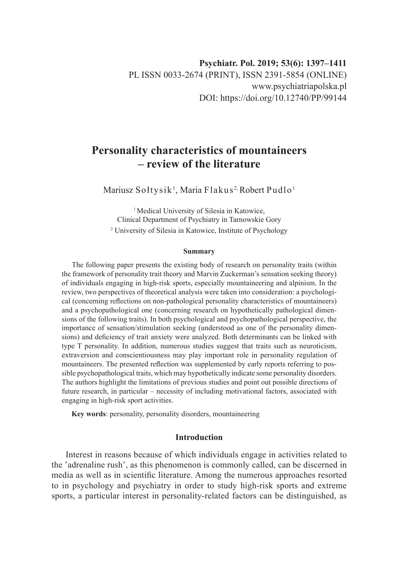# **Personality characteristics of mountaineers – review of the literature**

Mariusz Sołtysik<sup>1</sup>, Maria Flakus<sup>2,</sup> Robert Pudlo<sup>1</sup>

<sup>1</sup> Medical University of Silesia in Katowice, Clinical Department of Psychiatry in Tarnowskie Gory 2 University of Silesia in Katowice, Institute of Psychology

#### **Summary**

The following paper presents the existing body of research on personality traits (within the framework of personality trait theory and Marvin Zuckerman's sensation seeking theory) of individuals engaging in high-risk sports, especially mountaineering and alpinism. In the review, two perspectives of theoretical analysis were taken into consideration: a psychological (concerning reflections on non-pathological personality characteristics of mountaineers) and a psychopathological one (concerning research on hypothetically pathological dimensions of the following traits). In both psychological and psychopathological perspective, the importance of sensation/stimulation seeking (understood as one of the personality dimensions) and deficiency of trait anxiety were analyzed. Both determinants can be linked with type T personality. In addition, numerous studies suggest that traits such as neuroticism, extraversion and conscientiousness may play important role in personality regulation of mountaineers. The presented reflection was supplemented by early reports referring to possible psychopathological traits, which may hypothetically indicate some personality disorders. The authors highlight the limitations of previous studies and point out possible directions of future research, in particular – necessity of including motivational factors, associated with engaging in high-risk sport activities.

**Key words**: personality, personality disorders, mountaineering

## **Introduction**

Interest in reasons because of which individuals engage in activities related to the 'adrenaline rush', as this phenomenon is commonly called, can be discerned in media as well as in scientific literature. Among the numerous approaches resorted to in psychology and psychiatry in order to study high-risk sports and extreme sports, a particular interest in personality-related factors can be distinguished, as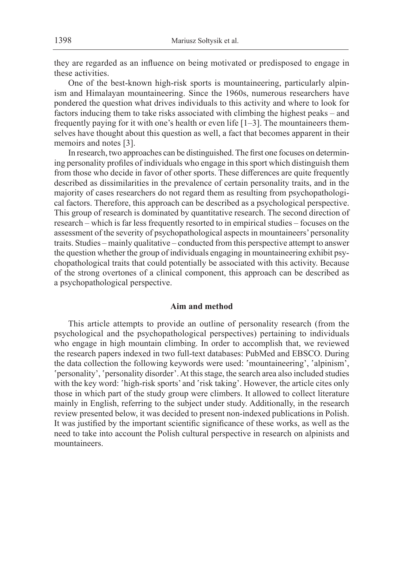they are regarded as an influence on being motivated or predisposed to engage in these activities.

One of the best-known high-risk sports is mountaineering, particularly alpinism and Himalayan mountaineering. Since the 1960s, numerous researchers have pondered the question what drives individuals to this activity and where to look for factors inducing them to take risks associated with climbing the highest peaks – and frequently paying for it with one's health or even life  $[1-3]$ . The mountaineers themselves have thought about this question as well, a fact that becomes apparent in their memoirs and notes [3].

In research, two approaches can be distinguished. The first one focuses on determining personality profiles of individuals who engage in this sport which distinguish them from those who decide in favor of other sports. These differences are quite frequently described as dissimilarities in the prevalence of certain personality traits, and in the majority of cases researchers do not regard them as resulting from psychopathological factors. Therefore, this approach can be described as a psychological perspective. This group of research is dominated by quantitative research. The second direction of research – which is far less frequently resorted to in empirical studies – focuses on the assessment of the severity of psychopathological aspects in mountaineers' personality traits. Studies – mainly qualitative – conducted from this perspective attempt to answer the question whether the group of individuals engaging in mountaineering exhibit psychopathological traits that could potentially be associated with this activity. Because of the strong overtones of a clinical component, this approach can be described as a psychopathological perspective.

## **Aim and method**

This article attempts to provide an outline of personality research (from the psychological and the psychopathological perspectives) pertaining to individuals who engage in high mountain climbing. In order to accomplish that, we reviewed the research papers indexed in two full-text databases: PubMed and EBSCO. During the data collection the following keywords were used: 'mountaineering', 'alpinism', 'personality', 'personality disorder'. At this stage, the search area also included studies with the key word: 'high-risk sports' and 'risk taking'. However, the article cites only those in which part of the study group were climbers. It allowed to collect literature mainly in English, referring to the subject under study. Additionally, in the research review presented below, it was decided to present non-indexed publications in Polish. It was justified by the important scientific significance of these works, as well as the need to take into account the Polish cultural perspective in research on alpinists and mountaineers.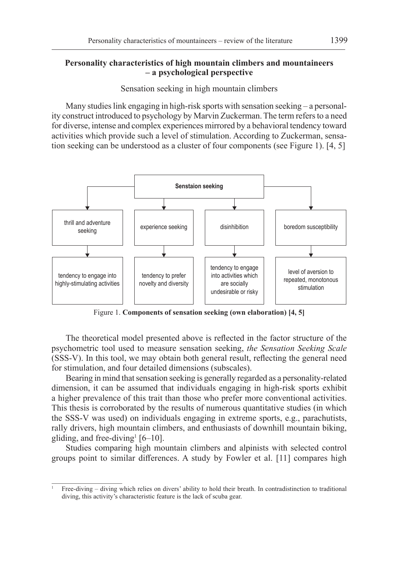## **Personality characteristics of high mountain climbers and mountaineers – a psychological perspective**

Sensation seeking in high mountain climbers

Many studies link engaging in high-risk sports with sensation seeking – a personality construct introduced to psychology by Marvin Zuckerman. The term refers to a need for diverse, intense and complex experiences mirrored by a behavioral tendency toward activities which provide such a level of stimulation. According to Zuckerman, sensation seeking can be understood as a cluster of four components (see Figure 1). [4, 5]



Figure 1. **Components of sensation seeking (own elaboration) [4, 5]**

The theoretical model presented above is reflected in the factor structure of the psychometric tool used to measure sensation seeking, *the Sensation Seeking Scale* (SSS-V). In this tool, we may obtain both general result, reflecting the general need for stimulation, and four detailed dimensions (subscales).

Bearing in mind that sensation seeking is generally regarded as a personality-related dimension, it can be assumed that individuals engaging in high-risk sports exhibit a higher prevalence of this trait than those who prefer more conventional activities. This thesis is corroborated by the results of numerous quantitative studies (in which the SSS-V was used) on individuals engaging in extreme sports, e.g., parachutists, rally drivers, high mountain climbers, and enthusiasts of downhill mountain biking, gliding, and free-diving<sup>1</sup> [6-10].

Studies comparing high mountain climbers and alpinists with selected control groups point to similar differences. A study by Fowler et al. [11] compares high

<sup>1</sup> Free-diving – diving which relies on divers' ability to hold their breath. In contradistinction to traditional diving, this activity's characteristic feature is the lack of scuba gear.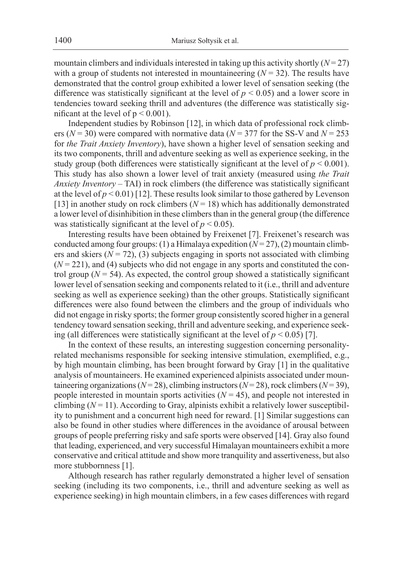mountain climbers and individuals interested in taking up this activity shortly  $(N = 27)$ with a group of students not interested in mountaineering  $(N = 32)$ . The results have demonstrated that the control group exhibited a lower level of sensation seeking (the difference was statistically significant at the level of  $p < 0.05$ ) and a lower score in tendencies toward seeking thrill and adventures (the difference was statistically significant at the level of  $p < 0.001$ ).

Independent studies by Robinson [12], in which data of professional rock climbers ( $N = 30$ ) were compared with normative data ( $N = 377$  for the SS-V and  $N = 253$ for *the Trait Anxiety Inventory*), have shown a higher level of sensation seeking and its two components, thrill and adventure seeking as well as experience seeking, in the study group (both differences were statistically significant at the level of  $p < 0.001$ ). This study has also shown a lower level of trait anxiety (measured using *the Trait Anxiety Inventory* – TAI) in rock climbers (the difference was statistically significant at the level of  $p < 0.01$  [12]. These results look similar to those gathered by Levenson [13] in another study on rock climbers  $(N = 18)$  which has additionally demonstrated a lower level of disinhibition in these climbers than in the general group (the difference was statistically significant at the level of  $p < 0.05$ ).

Interesting results have been obtained by Freixenet [7]. Freixenet's research was conducted among four groups: (1) a Himalaya expedition  $(N=27)$ , (2) mountain climbers and skiers  $(N = 72)$ , (3) subjects engaging in sports not associated with climbing  $(N = 221)$ , and (4) subjects who did not engage in any sports and constituted the control group  $(N = 54)$ . As expected, the control group showed a statistically significant lower level of sensation seeking and components related to it (i.e., thrill and adventure seeking as well as experience seeking) than the other groups. Statistically significant differences were also found between the climbers and the group of individuals who did not engage in risky sports; the former group consistently scored higher in a general tendency toward sensation seeking, thrill and adventure seeking, and experience seeking (all differences were statistically significant at the level of  $p < 0.05$ ) [7].

In the context of these results, an interesting suggestion concerning personalityrelated mechanisms responsible for seeking intensive stimulation, exemplified, e.g., by high mountain climbing, has been brought forward by Gray [1] in the qualitative analysis of mountaineers. He examined experienced alpinists associated under mountaineering organizations ( $N = 28$ ), climbing instructors ( $N = 28$ ), rock climbers ( $N = 39$ ), people interested in mountain sports activities  $(N = 45)$ , and people not interested in climbing  $(N = 11)$ . According to Gray, alpinists exhibit a relatively lower susceptibility to punishment and a concurrent high need for reward. [1] Similar suggestions can also be found in other studies where differences in the avoidance of arousal between groups of people preferring risky and safe sports were observed [14]. Gray also found that leading, experienced, and very successful Himalayan mountaineers exhibit a more conservative and critical attitude and show more tranquility and assertiveness, but also more stubbornness [1].

Although research has rather regularly demonstrated a higher level of sensation seeking (including its two components, i.e., thrill and adventure seeking as well as experience seeking) in high mountain climbers, in a few cases differences with regard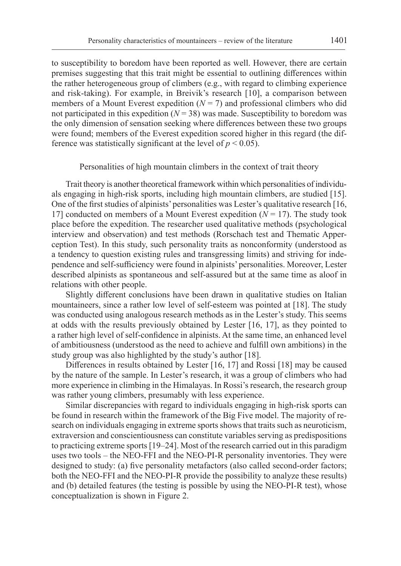to susceptibility to boredom have been reported as well. However, there are certain premises suggesting that this trait might be essential to outlining differences within the rather heterogeneous group of climbers (e.g., with regard to climbing experience and risk-taking). For example, in Breivik's research [10], a comparison between members of a Mount Everest expedition  $(N = 7)$  and professional climbers who did not participated in this expedition  $(N = 38)$  was made. Susceptibility to boredom was the only dimension of sensation seeking where differences between these two groups were found; members of the Everest expedition scored higher in this regard (the difference was statistically significant at the level of  $p < 0.05$ ).

#### Personalities of high mountain climbers in the context of trait theory

Trait theory is another theoretical framework within which personalities of individuals engaging in high-risk sports, including high mountain climbers, are studied [15]. One of the first studies of alpinists' personalities was Lester's qualitative research [16, 17] conducted on members of a Mount Everest expedition  $(N = 17)$ . The study took place before the expedition. The researcher used qualitative methods (psychological interview and observation) and test methods (Rorschach test and Thematic Apperception Test). In this study, such personality traits as nonconformity (understood as a tendency to question existing rules and transgressing limits) and striving for independence and self-sufficiency were found in alpinists' personalities. Moreover, Lester described alpinists as spontaneous and self-assured but at the same time as aloof in relations with other people.

Slightly different conclusions have been drawn in qualitative studies on Italian mountaineers, since a rather low level of self-esteem was pointed at [18]. The study was conducted using analogous research methods as in the Lester's study. This seems at odds with the results previously obtained by Lester [16, 17], as they pointed to a rather high level of self-confidence in alpinists. At the same time, an enhanced level of ambitiousness (understood as the need to achieve and fulfill own ambitions) in the study group was also highlighted by the study's author [18].

Differences in results obtained by Lester [16, 17] and Rossi [18] may be caused by the nature of the sample. In Lester's research, it was a group of climbers who had more experience in climbing in the Himalayas. In Rossi's research, the research group was rather young climbers, presumably with less experience.

Similar discrepancies with regard to individuals engaging in high-risk sports can be found in research within the framework of the Big Five model. The majority of research on individuals engaging in extreme sports shows that traits such as neuroticism, extraversion and conscientiousness can constitute variables serving as predispositions to practicing extreme sports [19–24]. Most of the research carried out in this paradigm uses two tools – the NEO-FFI and the NEO-PI-R personality inventories. They were designed to study: (a) five personality metafactors (also called second-order factors; both the NEO-FFI and the NEO-PI-R provide the possibility to analyze these results) and (b) detailed features (the testing is possible by using the NEO-PI-R test), whose conceptualization is shown in Figure 2.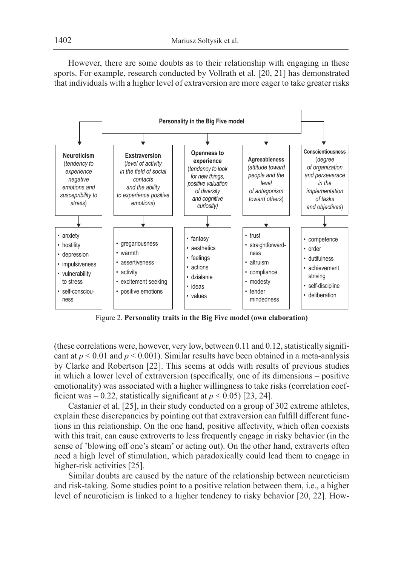However, there are some doubts as to their relationship with engaging in these sports. For example, research conducted by Vollrath et al. [20, 21] has demonstrated that individuals with a higher level of extraversion are more eager to take greater risks



Figure 2. **Personality traits in the Big Five model (own elaboration)**

(these correlations were, however, very low, between 0.11 and 0.12, statistically significant at  $p < 0.01$  and  $p < 0.001$ ). Similar results have been obtained in a meta-analysis by Clarke and Robertson [22]. This seems at odds with results of previous studies in which a lower level of extraversion (specifically, one of its dimensions – positive emotionality) was associated with a higher willingness to take risks (correlation coefficient was  $-0.22$ , statistically significant at  $p < 0.05$  [23, 24].

Castanier et al. [25], in their study conducted on a group of 302 extreme athletes, explain these discrepancies by pointing out that extraversion can fulfill different functions in this relationship. On the one hand, positive affectivity, which often coexists with this trait, can cause extroverts to less frequently engage in risky behavior (in the sense of 'blowing off one's steam' or acting out). On the other hand, extraverts often need a high level of stimulation, which paradoxically could lead them to engage in higher-risk activities [25].

Similar doubts are caused by the nature of the relationship between neuroticism and risk-taking. Some studies point to a positive relation between them, i.e., a higher level of neuroticism is linked to a higher tendency to risky behavior [20, 22]. How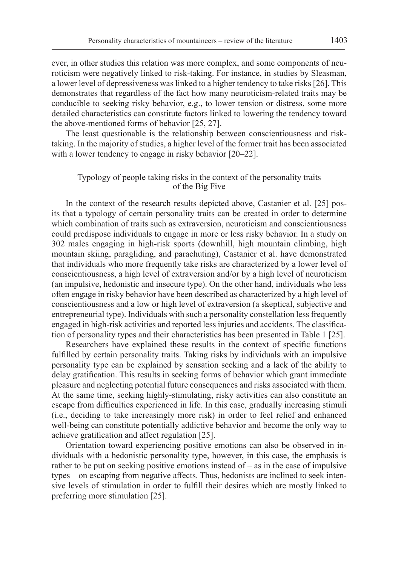ever, in other studies this relation was more complex, and some components of neuroticism were negatively linked to risk-taking. For instance, in studies by Sleasman, a lower level of depressiveness was linked to a higher tendency to take risks [26]. This demonstrates that regardless of the fact how many neuroticism-related traits may be conducible to seeking risky behavior, e.g., to lower tension or distress, some more detailed characteristics can constitute factors linked to lowering the tendency toward the above-mentioned forms of behavior [25, 27].

The least questionable is the relationship between conscientiousness and risktaking. In the majority of studies, a higher level of the former trait has been associated with a lower tendency to engage in risky behavior [20–22].

## Typology of people taking risks in the context of the personality traits of the Big Five

In the context of the research results depicted above, Castanier et al. [25] posits that a typology of certain personality traits can be created in order to determine which combination of traits such as extraversion, neuroticism and conscientiousness could predispose individuals to engage in more or less risky behavior. In a study on 302 males engaging in high-risk sports (downhill, high mountain climbing, high mountain skiing, paragliding, and parachuting), Castanier et al. have demonstrated that individuals who more frequently take risks are characterized by a lower level of conscientiousness, a high level of extraversion and/or by a high level of neuroticism (an impulsive, hedonistic and insecure type). On the other hand, individuals who less often engage in risky behavior have been described as characterized by a high level of conscientiousness and a low or high level of extraversion (a skeptical, subjective and entrepreneurial type). Individuals with such a personality constellation less frequently engaged in high-risk activities and reported less injuries and accidents. The classification of personality types and their characteristics has been presented in Table 1 [25].

Researchers have explained these results in the context of specific functions fulfilled by certain personality traits. Taking risks by individuals with an impulsive personality type can be explained by sensation seeking and a lack of the ability to delay gratification. This results in seeking forms of behavior which grant immediate pleasure and neglecting potential future consequences and risks associated with them. At the same time, seeking highly-stimulating, risky activities can also constitute an escape from difficulties experienced in life. In this case, gradually increasing stimuli (i.e., deciding to take increasingly more risk) in order to feel relief and enhanced well-being can constitute potentially addictive behavior and become the only way to achieve gratification and affect regulation [25].

Orientation toward experiencing positive emotions can also be observed in individuals with a hedonistic personality type, however, in this case, the emphasis is rather to be put on seeking positive emotions instead of – as in the case of impulsive types – on escaping from negative affects. Thus, hedonists are inclined to seek intensive levels of stimulation in order to fulfill their desires which are mostly linked to preferring more stimulation [25].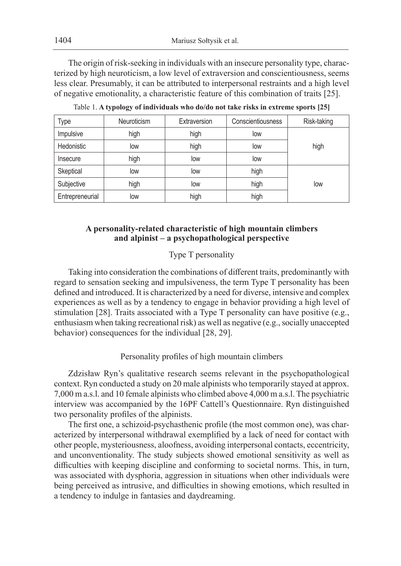The origin of risk-seeking in individuals with an insecure personality type, characterized by high neuroticism, a low level of extraversion and conscientiousness, seems less clear. Presumably, it can be attributed to interpersonal restraints and a high level of negative emotionality, a characteristic feature of this combination of traits [25].

| Type            | Neuroticism | Extraversion | Conscientiousness | Risk-taking |
|-----------------|-------------|--------------|-------------------|-------------|
| Impulsive       | high        | high         | low               |             |
| Hedonistic      | low         | high         | low               | high        |
| Insecure        | high        | low          | low               |             |
| Skeptical       | low         | low          | high              |             |
| Subjective      | high        | low          | high              | low         |
| Entrepreneurial | low         | high         | high              |             |

Table 1. **A typology of individuals who do/do not take risks in extreme sports [25]**

## **A personality-related characteristic of high mountain climbers and alpinist – a psychopathological perspective**

Type T personality

Taking into consideration the combinations of different traits, predominantly with regard to sensation seeking and impulsiveness, the term Type T personality has been defined and introduced. It is characterized by a need for diverse, intensive and complex experiences as well as by a tendency to engage in behavior providing a high level of stimulation [28]. Traits associated with a Type T personality can have positive (e.g., enthusiasm when taking recreational risk) as well as negative (e.g., socially unaccepted behavior) consequences for the individual [28, 29].

#### Personality profiles of high mountain climbers

Zdzisław Ryn's qualitative research seems relevant in the psychopathological context. Ryn conducted a study on 20 male alpinists who temporarily stayed at approx. 7,000 m a.s.l. and 10 female alpinists who climbed above 4,000 m a.s.l. The psychiatric interview was accompanied by the 16PF Cattell's Questionnaire. Ryn distinguished two personality profiles of the alpinists.

The first one, a schizoid-psychasthenic profile (the most common one), was characterized by interpersonal withdrawal exemplified by a lack of need for contact with other people, mysteriousness, aloofness, avoiding interpersonal contacts, eccentricity, and unconventionality. The study subjects showed emotional sensitivity as well as difficulties with keeping discipline and conforming to societal norms. This, in turn, was associated with dysphoria, aggression in situations when other individuals were being perceived as intrusive, and difficulties in showing emotions, which resulted in a tendency to indulge in fantasies and daydreaming.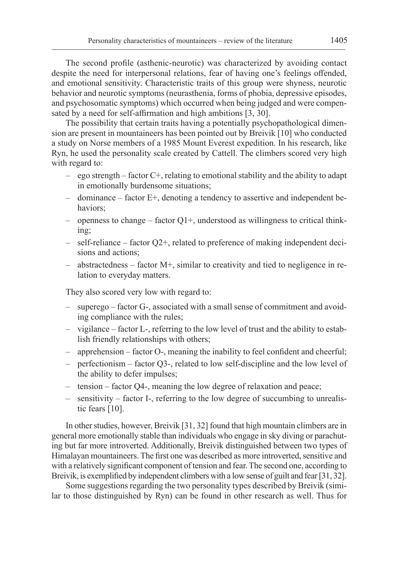The second profile (asthenic-neurotic) was characterized by avoiding contact despite the need for interpersonal relations, fear of having one's feelings offended, and emotional sensitivity. Characteristic traits of this group were shyness, neurotic behavior and neurotic symptoms (neurasthenia, forms of phobia, depressive episodes, and psychosomatic symptoms) which occurred when being judged and were compensated by a need for self-affirmation and high ambitions [3, 30].

The possibility that certain traits having a potentially psychopathological dimension are present in mountaineers has been pointed out by Breivik [10] who conducted a study on Norse members of a 1985 Mount Everest expedition. In his research, like Ryn, he used the personality scale created by Cattell. The climbers scored very high with regard to:

- ego strength factor C+, relating to emotional stability and the ability to adapt in emotionally burdensome situations;
- dominance factor E+, denoting a tendency to assertive and independent behaviors;
- openness to change factor  $Q1+$ , understood as willingness to critical thinking;
- self-reliance factor Q2+, related to preference of making independent decisions and actions;
- abstractedness factor M+, similar to creativity and tied to negligence in relation to everyday matters.

They also scored very low with regard to:

- superego factor G-, associated with a small sense of commitment and avoiding compliance with the rules;
- vigilance factor L-, referring to the low level of trust and the ability to establish friendly relationships with others;
- apprehension factor O-, meaning the inability to feel confident and cheerful;
- perfectionism factor Q3-, related to low self-discipline and the low level of the ability to defer impulses;
- tension factor Q4-, meaning the low degree of relaxation and peace;
- sensitivity factor I-, referring to the low degree of succumbing to unrealistic fears [10].

In other studies, however, Breivik [31, 32] found that high mountain climbers are in general more emotionally stable than individuals who engage in sky diving or parachuting but far more introverted. Additionally, Breivik distinguished between two types of Himalayan mountaineers. The first one was described as more introverted, sensitive and with a relatively significant component of tension and fear. The second one, according to Breivik, is exemplified by independent climbers with a low sense of guilt and fear [31, 32].

Some suggestions regarding the two personality types described by Breivik (similar to those distinguished by Ryn) can be found in other research as well. Thus for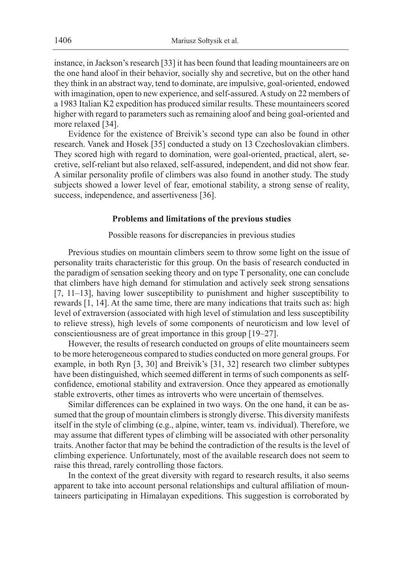instance, in Jackson's research [33] it has been found that leading mountaineers are on the one hand aloof in their behavior, socially shy and secretive, but on the other hand they think in an abstract way, tend to dominate, are impulsive, goal-oriented, endowed with imagination, open to new experience, and self-assured. A study on 22 members of a 1983 Italian K2 expedition has produced similar results. These mountaineers scored higher with regard to parameters such as remaining aloof and being goal-oriented and more relaxed [34].

Evidence for the existence of Breivik's second type can also be found in other research. Vanek and Hosek [35] conducted a study on 13 Czechoslovakian climbers. They scored high with regard to domination, were goal-oriented, practical, alert, secretive, self-reliant but also relaxed, self-assured, independent, and did not show fear. A similar personality profile of climbers was also found in another study. The study subjects showed a lower level of fear, emotional stability, a strong sense of reality, success, independence, and assertiveness [36].

#### **Problems and limitations of the previous studies**

Possible reasons for discrepancies in previous studies

Previous studies on mountain climbers seem to throw some light on the issue of personality traits characteristic for this group. On the basis of research conducted in the paradigm of sensation seeking theory and on type T personality, one can conclude that climbers have high demand for stimulation and actively seek strong sensations [7, 11–13], having lower susceptibility to punishment and higher susceptibility to rewards [1, 14]. At the same time, there are many indications that traits such as: high level of extraversion (associated with high level of stimulation and less susceptibility to relieve stress), high levels of some components of neuroticism and low level of conscientiousness are of great importance in this group [19–27].

However, the results of research conducted on groups of elite mountaineers seem to be more heterogeneous compared to studies conducted on more general groups. For example, in both Ryn [3, 30] and Breivik's [31, 32] research two climber subtypes have been distinguished, which seemed different in terms of such components as selfconfidence, emotional stability and extraversion. Once they appeared as emotionally stable extroverts, other times as introverts who were uncertain of themselves.

Similar differences can be explained in two ways. On the one hand, it can be assumed that the group of mountain climbers is strongly diverse. This diversity manifests itself in the style of climbing (e.g., alpine, winter, team vs. individual). Therefore, we may assume that different types of climbing will be associated with other personality traits. Another factor that may be behind the contradiction of the results is the level of climbing experience. Unfortunately, most of the available research does not seem to raise this thread, rarely controlling those factors.

In the context of the great diversity with regard to research results, it also seems apparent to take into account personal relationships and cultural affiliation of mountaineers participating in Himalayan expeditions. This suggestion is corroborated by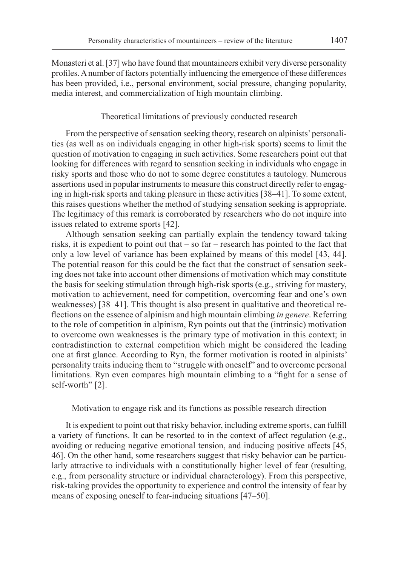Monasteri et al. [37] who have found that mountaineers exhibit very diverse personality profiles. A number of factors potentially influencing the emergence of these differences has been provided, i.e., personal environment, social pressure, changing popularity, media interest, and commercialization of high mountain climbing.

## Theoretical limitations of previously conducted research

From the perspective of sensation seeking theory, research on alpinists' personalities (as well as on individuals engaging in other high-risk sports) seems to limit the question of motivation to engaging in such activities. Some researchers point out that looking for differences with regard to sensation seeking in individuals who engage in risky sports and those who do not to some degree constitutes a tautology. Numerous assertions used in popular instruments to measure this construct directly refer to engaging in high-risk sports and taking pleasure in these activities [38–41]. To some extent, this raises questions whether the method of studying sensation seeking is appropriate. The legitimacy of this remark is corroborated by researchers who do not inquire into issues related to extreme sports [42].

Although sensation seeking can partially explain the tendency toward taking risks, it is expedient to point out that – so far – research has pointed to the fact that only a low level of variance has been explained by means of this model [43, 44]. The potential reason for this could be the fact that the construct of sensation seeking does not take into account other dimensions of motivation which may constitute the basis for seeking stimulation through high-risk sports (e.g., striving for mastery, motivation to achievement, need for competition, overcoming fear and one's own weaknesses) [38–41]. This thought is also present in qualitative and theoretical reflections on the essence of alpinism and high mountain climbing *in genere*. Referring to the role of competition in alpinism, Ryn points out that the (intrinsic) motivation to overcome own weaknesses is the primary type of motivation in this context; in contradistinction to external competition which might be considered the leading one at first glance. According to Ryn, the former motivation is rooted in alpinists' personality traits inducing them to "struggle with oneself" and to overcome personal limitations. Ryn even compares high mountain climbing to a "fight for a sense of self-worth" [2].

Motivation to engage risk and its functions as possible research direction

It is expedient to point out that risky behavior, including extreme sports, can fulfill a variety of functions. It can be resorted to in the context of affect regulation (e.g., avoiding or reducing negative emotional tension, and inducing positive affects [45, 46]. On the other hand, some researchers suggest that risky behavior can be particularly attractive to individuals with a constitutionally higher level of fear (resulting, e.g., from personality structure or individual characterology). From this perspective, risk-taking provides the opportunity to experience and control the intensity of fear by means of exposing oneself to fear-inducing situations [47–50].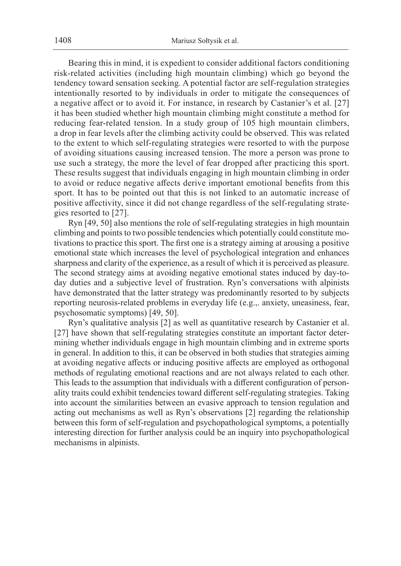Bearing this in mind, it is expedient to consider additional factors conditioning risk-related activities (including high mountain climbing) which go beyond the tendency toward sensation seeking. A potential factor are self-regulation strategies intentionally resorted to by individuals in order to mitigate the consequences of a negative affect or to avoid it. For instance, in research by Castanier's et al. [27] it has been studied whether high mountain climbing might constitute a method for reducing fear-related tension. In a study group of 105 high mountain climbers, a drop in fear levels after the climbing activity could be observed. This was related to the extent to which self-regulating strategies were resorted to with the purpose of avoiding situations causing increased tension. The more a person was prone to use such a strategy, the more the level of fear dropped after practicing this sport. These results suggest that individuals engaging in high mountain climbing in order to avoid or reduce negative affects derive important emotional benefits from this sport. It has to be pointed out that this is not linked to an automatic increase of positive affectivity, since it did not change regardless of the self-regulating strategies resorted to [27].

Ryn [49, 50] also mentions the role of self-regulating strategies in high mountain climbing and points to two possible tendencies which potentially could constitute motivations to practice this sport. The first one is a strategy aiming at arousing a positive emotional state which increases the level of psychological integration and enhances sharpness and clarity of the experience, as a result of which it is perceived as pleasure. The second strategy aims at avoiding negative emotional states induced by day-today duties and a subjective level of frustration. Ryn's conversations with alpinists have demonstrated that the latter strategy was predominantly resorted to by subjects reporting neurosis-related problems in everyday life (e.g.,. anxiety, uneasiness, fear, psychosomatic symptoms) [49, 50].

Ryn's qualitative analysis [2] as well as quantitative research by Castanier et al. [27] have shown that self-regulating strategies constitute an important factor determining whether individuals engage in high mountain climbing and in extreme sports in general. In addition to this, it can be observed in both studies that strategies aiming at avoiding negative affects or inducing positive affects are employed as orthogonal methods of regulating emotional reactions and are not always related to each other. This leads to the assumption that individuals with a different configuration of personality traits could exhibit tendencies toward different self-regulating strategies. Taking into account the similarities between an evasive approach to tension regulation and acting out mechanisms as well as Ryn's observations [2] regarding the relationship between this form of self-regulation and psychopathological symptoms, a potentially interesting direction for further analysis could be an inquiry into psychopathological mechanisms in alpinists.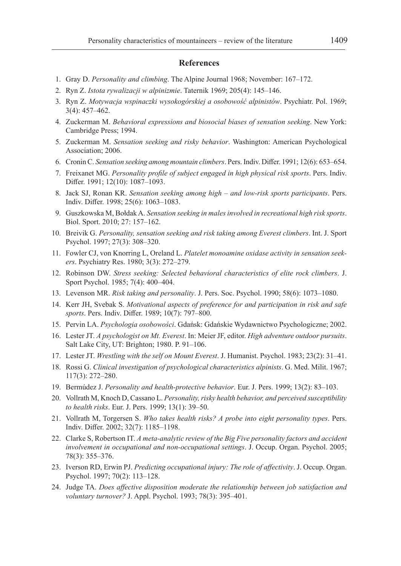#### **References**

- 1. Gray D. *Personality and climbing*. The Alpine Journal 1968; November: 167–172.
- 2. Ryn Z. *Istota rywalizacji w alpinizmie*. Taternik 1969; 205(4): 145–146.
- 3. Ryn Z. *Motywacja wspinaczki wysokogórskiej a osobowość alpinistów*. Psychiatr. Pol. 1969; 3(4): 457–462.
- 4. Zuckerman M. *Behavioral expressions and biosocial biases of sensation seeking*. New York: Cambridge Press; 1994.
- 5. Zuckerman M. *Sensation seeking and risky behavior*. Washington: American Psychological Association; 2006.
- 6. Cronin C. *Sensation seeking among mountain climbers*. Pers. Indiv. Differ. 1991; 12(6): 653–654.
- 7. Freixanet MG. *Personality profile of subject engaged in high physical risk sports*. Pers. Indiv. Differ. 1991; 12(10): 1087–1093.
- 8. Jack SJ, Ronan KR. *Sensation seeking among high and low-risk sports participants*. Pers. Indiv. Differ. 1998; 25(6): 1063–1083.
- 9. Guszkowska M, Bołdak A. *Sensation seeking in males involved in recreational high risk sports*. Biol. Sport. 2010; 27: 157–162.
- 10. Breivik G. *Personality, sensation seeking and risk taking among Everest climbers*. Int. J. Sport Psychol. 1997; 27(3): 308–320.
- 11. Fowler CJ, von Knorring L, Oreland L. *Platelet monoamine oxidase activity in sensation seekers*. Psychiatry Res. 1980; 3(3): 272–279.
- 12. Robinson DW. *Stress seeking: Selected behavioral characteristics of elite rock climbers*. J. Sport Psychol. 1985; 7(4): 400–404.
- 13. Levenson MR. *Risk taking and personality*. J. Pers. Soc. Psychol. 1990; 58(6): 1073–1080.
- 14. Kerr JH, Svebak S. *Motivational aspects of preference for and participation in risk and safe sports*. Pers. Indiv. Differ. 1989; 10(7): 797–800.
- 15. Pervin LA. *Psychologia osobowości*. Gdańsk: Gdańskie Wydawnictwo Psychologiczne; 2002.
- 16. Lester JT. *A psychologist on Mt. Everest*. In: Meier JF, editor. *High adventure outdoor pursuits*. Salt Lake City, UT: Brighton; 1980. P. 91–106.
- 17. Lester JT. *Wrestling with the self on Mount Everest*. J. Humanist. Psychol. 1983; 23(2): 31–41.
- 18. Rossi G. *Clinical investigation of psychological characteristics alpinists*. G. Med. Milit. 1967; 117(3): 272–280.
- 19. Bermúdez J. *Personality and health-protective behavior*. Eur. J. Pers. 1999; 13(2): 83–103.
- 20. Vollrath M, Knoch D, Cassano L. *Personality, risky health behavior, and perceived susceptibility to health risks*. Eur. J. Pers. 1999; 13(1): 39–50.
- 21. Vollrath M, Torgersen S. *Who takes health risks? A probe into eight personality types*. Pers. Indiv. Differ. 2002; 32(7): 1185–1198.
- 22. Clarke S, Robertson IT. *A meta-analytic review of the Big Five personality factors and accident involvement in occupational and non-occupational settings*. J. Occup. Organ. Psychol. 2005; 78(3): 355–376.
- 23. Iverson RD, Erwin PJ. *Predicting occupational injury: The role of affectivity*. J. Occup. Organ. Psychol. 1997; 70(2): 113–128.
- 24. Judge TA. *Does affective disposition moderate the relationship between job satisfaction and voluntary turnover?* J. Appl. Psychol. 1993; 78(3): 395–401.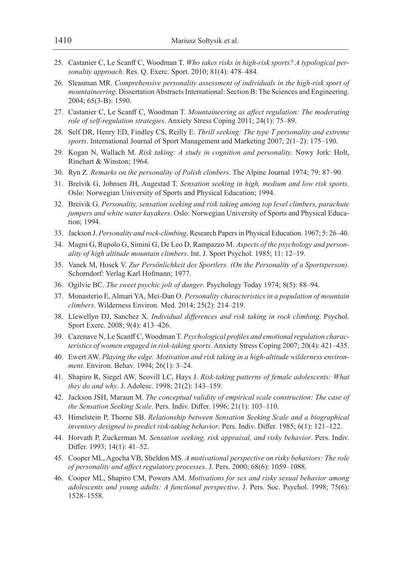- 25. Castanier C, Le Scanff C, Woodman T. *Who takes risks in high-risk sports? A typological personality approach*. Res. Q. Exerc. Sport. 2010; 81(4): 478–484.
- 26. Sleasman MR. *Comprehensive personality assessment of individuals in the high-risk sport of mountaineering*. Dissertation Abstracts International: Section B: The Sciences and Engineering. 2004; 65(3-B): 1590.
- 27. Castanier C, Le Scanff C, Woodman T. *Mountaineering as affect regulation: The moderating role of self-regulation strategies*. Anxiety Stress Coping 2011; 24(1): 75–89.
- 28. Self DR, Henry ED, Findley CS, Reilly E. *Thrill seeking: The type T personality and extreme sports*. International Journal of Sport Management and Marketing 2007; 2(1–2): 175–190.
- 29. Kogan N, Wallach M. *Risk taking: A study in cognition and personality*. Nowy Jork: Holt, Rinehart & Winston; 1964.
- 30. Ryn Z. *Remarks on the personality of Polish climbers*. The Alpine Journal 1974; 79: 87–90.
- 31. Breivik G, Johnsen JH, Augestad T. *Sensation seeking in high, medium and low risk sports*. Oslo: Norwegian University of Sports and Physical Education; 1994.
- 32. Breivik G. *Personality, sensation seeking and risk taking among top level climbers, parachute jumpers and white water kayakers*. Oslo: Norwegian University of Sports and Physical Education; 1994.
- 33. Jackson J. *Personality and rock-climbing*. Research Papers in Physical Education. 1967; 5: 26–40.
- 34. Magni G, Rupolo G, Simini G, De Leo D, Rampazzo M. *Aspects of the psychology and personality of high altitude mountain climbers*. Int. J. Sport Psychol. 1985; 11: 12–19.
- 35. Vanek M, Hosek V. *Zur Persönlichkeit des Sportlers. (On the Personality of a Sportsperson)*. Schorndorf: Verlag Karl Hofmann; 1977.
- 36. Ogilvie BC. *The sweet psychic jolt of danger*. Psychology Today 1974; 8(5): 88–94.
- 37. Monasterio E, Almari YA, Mei-Dan O. *Personality characteristics in a population of mountain climbers*. Wilderness Environ. Med. 2014; 25(2): 214–219.
- 38. Llewellyn DJ, Sanchez X. *Individual differences and risk taking in rock climbing*. Psychol. Sport Exerc. 2008; 9(4): 413–426.
- 39. Cazenave N, Le Scanff C, Woodman T. *Psychological profiles and emotional regulation characteristics of women engaged in risk-taking sports*. Anxiety Stress Coping 2007; 20(4): 421–435.
- 40. Ewert AW. *Playing the edge: Motivation and risk taking in a high-altitude wilderness environment*. Environ. Behav. 1994; 26(1): 3–24.
- 41. Shapiro R, Siegel AW, Scovill LC, Hays J. *Risk-taking patterns of female adolescents: What they do and why*. J. Adolesc. 1998; 21(2): 143–159.
- 42. Jackson JSH, Maraun M. *The conceptual validity of empirical scale construction: The case of the Sensation Seeking Scale*. Pers. Indiv. Differ. 1996; 21(1): 103–110.
- 43. Himelstein P, Thorne SB. *Relationship between Sensation Seeking Scale and a biographical inventory designed to predict risk-taking behavior*. Pers. Indiv. Differ. 1985; 6(1): 121–122.
- 44. Horvath P, Zuckerman M. *Sensation seeking, risk appraisal, and risky behavior*. Pers. Indiv. Differ. 1993; 14(1): 41–52.
- 45. Cooper ML, Agocha VB, Sheldon MS. *A motivational perspective on risky behaviors: The role of personality and affect regulatory processes*. J. Pers. 2000; 68(6): 1059–1088.
- 46. Cooper ML, Shapiro CM, Powers AM. *Motivations for sex and risky sexual behavior among adolescents and young adults: A functional perspective*. J. Pers. Soc. Psychol. 1998; 75(6): 1528–1558.